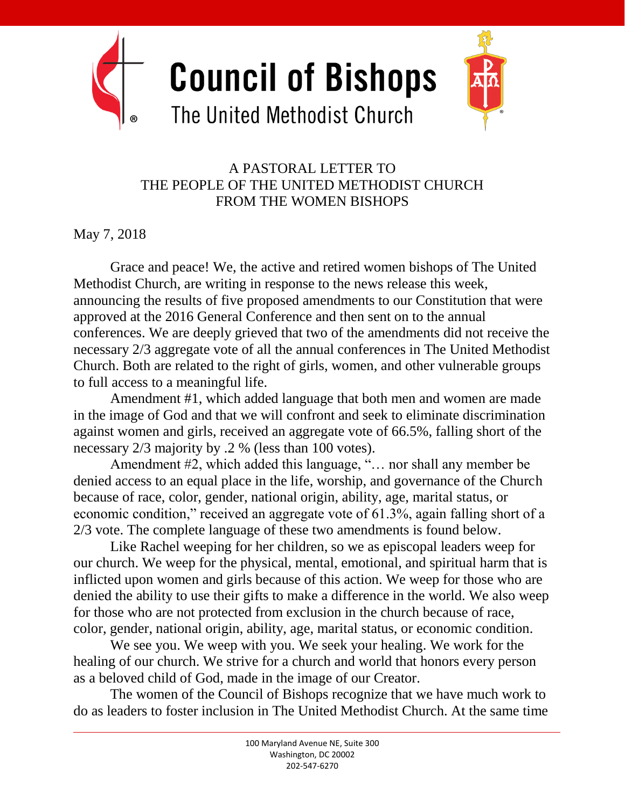

**Council of Bishops** 



## The United Methodist Church

## A PASTORAL LETTER TO THE PEOPLE OF THE UNITED METHODIST CHURCH FROM THE WOMEN BISHOPS

May 7, 2018

Grace and peace! We, the active and retired women bishops of The United Methodist Church, are writing in response to the news release this week, announcing the results of five proposed amendments to our Constitution that were approved at the 2016 General Conference and then sent on to the annual conferences. We are deeply grieved that two of the amendments did not receive the necessary 2/3 aggregate vote of all the annual conferences in The United Methodist Church. Both are related to the right of girls, women, and other vulnerable groups to full access to a meaningful life.

Amendment #1, which added language that both men and women are made in the image of God and that we will confront and seek to eliminate discrimination against women and girls, received an aggregate vote of 66.5%, falling short of the necessary 2/3 majority by .2 % (less than 100 votes).

Amendment #2, which added this language, "… nor shall any member be denied access to an equal place in the life, worship, and governance of the Church because of race, color, gender, national origin, ability, age, marital status, or economic condition," received an aggregate vote of 61.3%, again falling short of a 2/3 vote. The complete language of these two amendments is found below.

Like Rachel weeping for her children, so we as episcopal leaders weep for our church. We weep for the physical, mental, emotional, and spiritual harm that is inflicted upon women and girls because of this action. We weep for those who are denied the ability to use their gifts to make a difference in the world. We also weep for those who are not protected from exclusion in the church because of race, color, gender, national origin, ability, age, marital status, or economic condition.

We see you. We weep with you. We seek your healing. We work for the healing of our church. We strive for a church and world that honors every person as a beloved child of God, made in the image of our Creator.

The women of the Council of Bishops recognize that we have much work to do as leaders to foster inclusion in The United Methodist Church. At the same time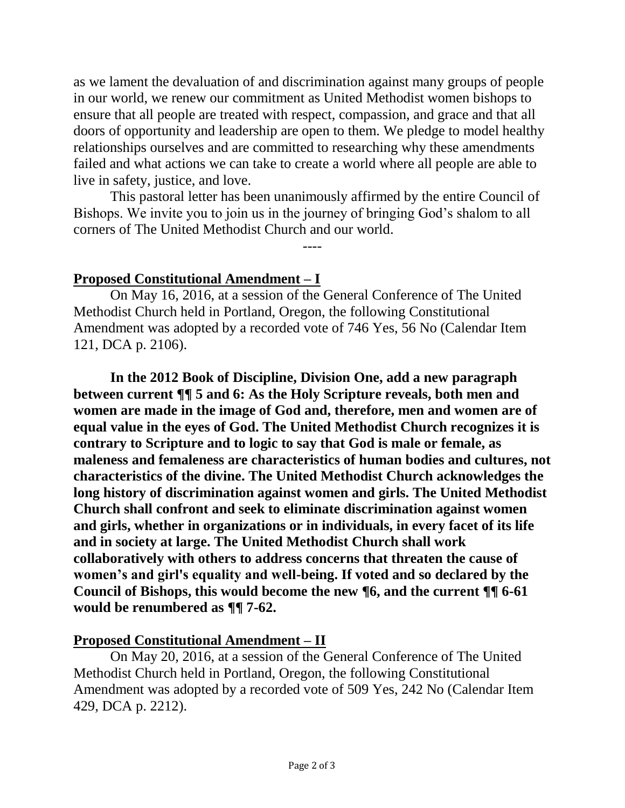as we lament the devaluation of and discrimination against many groups of people in our world, we renew our commitment as United Methodist women bishops to ensure that all people are treated with respect, compassion, and grace and that all doors of opportunity and leadership are open to them. We pledge to model healthy relationships ourselves and are committed to researching why these amendments failed and what actions we can take to create a world where all people are able to live in safety, justice, and love.

This pastoral letter has been unanimously affirmed by the entire Council of Bishops. We invite you to join us in the journey of bringing God's shalom to all corners of The United Methodist Church and our world.

----

## **Proposed Constitutional Amendment – I**

On May 16, 2016, at a session of the General Conference of The United Methodist Church held in Portland, Oregon, the following Constitutional Amendment was adopted by a recorded vote of 746 Yes, 56 No (Calendar Item 121, DCA p. 2106).

**In the 2012 Book of Discipline, Division One, add a new paragraph between current ¶¶ 5 and 6: As the Holy Scripture reveals, both men and women are made in the image of God and, therefore, men and women are of equal value in the eyes of God. The United Methodist Church recognizes it is contrary to Scripture and to logic to say that God is male or female, as maleness and femaleness are characteristics of human bodies and cultures, not characteristics of the divine. The United Methodist Church acknowledges the long history of discrimination against women and girls. The United Methodist Church shall confront and seek to eliminate discrimination against women and girls, whether in organizations or in individuals, in every facet of its life and in society at large. The United Methodist Church shall work collaboratively with others to address concerns that threaten the cause of women's and girl's equality and well-being. If voted and so declared by the Council of Bishops, this would become the new ¶6, and the current ¶¶ 6-61 would be renumbered as ¶¶ 7-62.** 

## **Proposed Constitutional Amendment – II**

On May 20, 2016, at a session of the General Conference of The United Methodist Church held in Portland, Oregon, the following Constitutional Amendment was adopted by a recorded vote of 509 Yes, 242 No (Calendar Item 429, DCA p. 2212).